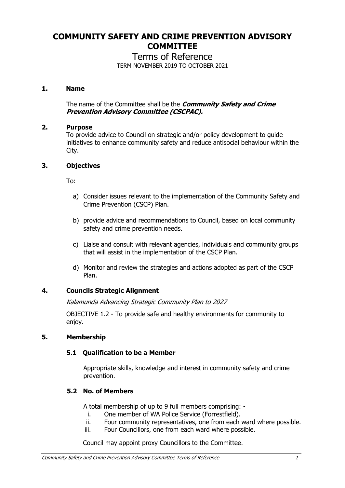# **COMMUNITY SAFETY AND CRIME PREVENTION ADVISORY COMMITTEE**

# Terms of Reference

TERM NOVEMBER 2019 TO OCTOBER 2021

## **1. Name**

The name of the Committee shall be the *Community Safety and Crime Prevention Advisory Committee (CSCPAC).*

#### **2. Purpose**

To provide advice to Council on strategic and/or policy development to guide initiatives to enhance community safety and reduce antisocial behaviour within the City.

#### **3. Objectives**

To:

- a) Consider issues relevant to the implementation of the Community Safety and Crime Prevention (CSCP) Plan.
- b) provide advice and recommendations to Council, based on local community safety and crime prevention needs.
- c) Liaise and consult with relevant agencies, individuals and community groups that will assist in the implementation of the CSCP Plan.
- d) Monitor and review the strategies and actions adopted as part of the CSCP Plan.

## **4. Councils Strategic Alignment**

*Kalamunda Advancing Strategic Community Plan to 2027* 

OBJECTIVE 1.2 - To provide safe and healthy environments for community to enjoy.

## **5. Membership**

## **5.1 Qualification to be a Member**

Appropriate skills, knowledge and interest in community safety and crime prevention.

## **5.2 No. of Members**

A total membership of up to 9 full members comprising: -

- i. One member of WA Police Service (Forrestfield).
- ii. Four community representatives, one from each ward where possible.
- iii. Four Councillors, one from each ward where possible.

Council may appoint proxy Councillors to the Committee.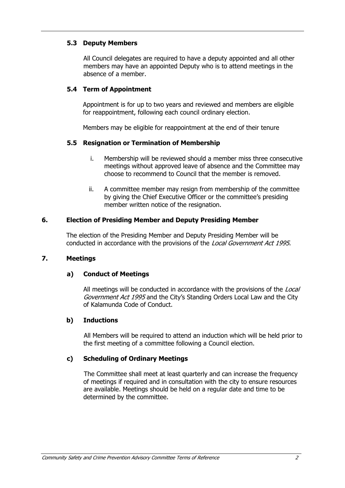### **5.3 Deputy Members**

All Council delegates are required to have a deputy appointed and all other members may have an appointed Deputy who is to attend meetings in the absence of a member.

### **5.4 Term of Appointment**

Appointment is for up to two years and reviewed and members are eligible for reappointment, following each council ordinary election.

Members may be eligible for reappointment at the end of their tenure

#### **5.5 Resignation or Termination of Membership**

- i. Membership will be reviewed should a member miss three consecutive meetings without approved leave of absence and the Committee may choose to recommend to Council that the member is removed.
- ii. A committee member may resign from membership of the committee by giving the Chief Executive Officer or the committee's presiding member written notice of the resignation.

#### **6. Election of Presiding Member and Deputy Presiding Member**

The election of the Presiding Member and Deputy Presiding Member will be conducted in accordance with the provisions of the *Local Government Act 1995*.

#### **7. Meetings**

## **a) Conduct of Meetings**

All meetings will be conducted in accordance with the provisions of the *Local Government Act 1995* and the City's Standing Orders Local Law and the City of Kalamunda Code of Conduct.

#### **b) Inductions**

All Members will be required to attend an induction which will be held prior to the first meeting of a committee following a Council election.

#### **c) Scheduling of Ordinary Meetings**

The Committee shall meet at least quarterly and can increase the frequency of meetings if required and in consultation with the city to ensure resources are available. Meetings should be held on a regular date and time to be determined by the committee.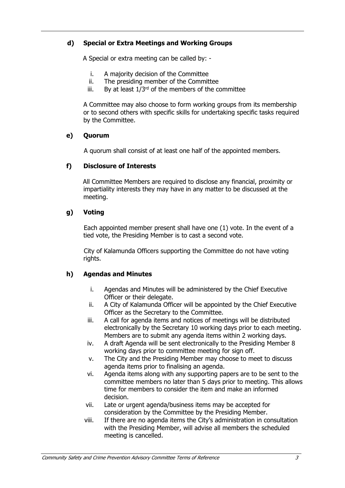## **d) Special or Extra Meetings and Working Groups**

A Special or extra meeting can be called by: -

- i. A majority decision of the Committee
- ii. The presiding member of the Committee
- iii. By at least  $1/3^{rd}$  of the members of the committee

A Committee may also choose to form working groups from its membership or to second others with specific skills for undertaking specific tasks required by the Committee.

## **e) Quorum**

A quorum shall consist of at least one half of the appointed members.

## **f) Disclosure of Interests**

All Committee Members are required to disclose any financial, proximity or impartiality interests they may have in any matter to be discussed at the meeting.

## **g) Voting**

Each appointed member present shall have one (1) vote. In the event of a tied vote, the Presiding Member is to cast a second vote.

City of Kalamunda Officers supporting the Committee do not have voting rights.

## **h) Agendas and Minutes**

- i. Agendas and Minutes will be administered by the Chief Executive Officer or their delegate.
- ii. A City of Kalamunda Officer will be appointed by the Chief Executive Officer as the Secretary to the Committee.
- iii. A call for agenda items and notices of meetings will be distributed electronically by the Secretary 10 working days prior to each meeting. Members are to submit any agenda items within 2 working days.
- iv. A draft Agenda will be sent electronically to the Presiding Member 8 working days prior to committee meeting for sign off.
- v. The City and the Presiding Member may choose to meet to discuss agenda items prior to finalising an agenda.
- vi. Agenda items along with any supporting papers are to be sent to the committee members no later than 5 days prior to meeting. This allows time for members to consider the item and make an informed decision.
- vii. Late or urgent agenda/business items may be accepted for consideration by the Committee by the Presiding Member.
- viii. If there are no agenda items the City's administration in consultation with the Presiding Member, will advise all members the scheduled meeting is cancelled.